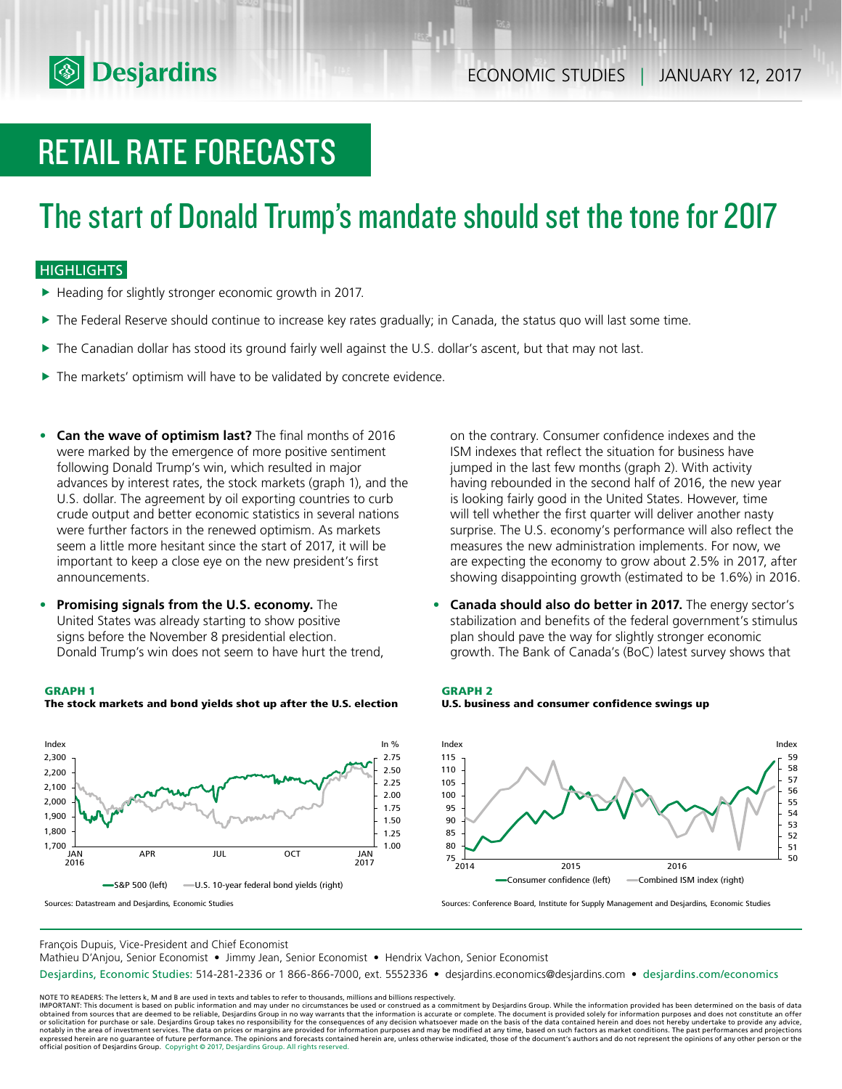

# RETAIL RATE FORECASTS

# The start of Donald Trump's mandate should set the tone for 2017

### **HIGHLIGHTS**

- $\blacktriangleright$  Heading for slightly stronger economic growth in 2017.
- $\blacktriangleright$  The Federal Reserve should continue to increase key rates gradually; in Canada, the status quo will last some time.
- $\triangleright$  The Canadian dollar has stood its ground fairly well against the U.S. dollar's ascent, but that may not last.
- $\blacktriangleright$  The markets' optimism will have to be validated by concrete evidence.
- **• Can the wave of optimism last?** The final months of 2016 were marked by the emergence of more positive sentiment following Donald Trump's win, which resulted in major advances by interest rates, the stock markets (graph 1), and the U.S. dollar. The agreement by oil exporting countries to curb crude output and better economic statistics in several nations were further factors in the renewed optimism. As markets seem a little more hesitant since the start of 2017, it will be important to keep a close eye on the new president's first announcements.
- **• Promising signals from the U.S. economy.** The United States was already starting to show positive signs before the November 8 presidential election. Donald Trump's win does not seem to have hurt the trend,

#### **GRAPH 1**



**The stock markets and bond yields shot up after the U.S. election**

on the contrary. Consumer confidence indexes and the ISM indexes that reflect the situation for business have jumped in the last few months (graph 2). With activity having rebounded in the second half of 2016, the new year is looking fairly good in the United States. However, time will tell whether the first quarter will deliver another nasty surprise. The U.S. economy's performance will also reflect the measures the new administration implements. For now, we are expecting the economy to grow about 2.5% in 2017, after showing disappointing growth (estimated to be 1.6%) in 2016.

**• Canada should also do better in 2017.** The energy sector's stabilization and benefits of the federal government's stimulus plan should pave the way for slightly stronger economic growth. The Bank of Canada's (BoC) latest survey shows that





Sources: Conference Board, Institute for Supply Management and Desjardins, Economic Studies

François Dupuis, Vice-President and Chief Economist

Mathieu D'Anjou, Senior Economist • Jimmy Jean, Senior Economist • Hendrix Vachon, Senior Economist

Desjardins, Economic Studies: 514-281-2336 or 1 866-866-7000, ext. 5552336 • desjardins.economics@desjardins.com • desjardins.com/economics

NOTE TO READERS: The letters k, M and B are used in texts and tables to refer to thousands, millions and billions respectively.<br>IMPORTANT: This document is based on public information and may under no circumstances be used obtained from sources that are deemed to be reliable, Desjardins Group in no way warrants that the information is accurate or complete. The document is provided solely for information purposes and does not constitute an of expressed herein are no guarantee of future performance. The opinions and forecasts contained herein are, unless otherwise indicated, those of the document's authors and do not represent the opinions of any other person or official position of Desjardins Group. Copyright © 2017, Desjardins Group. All rights reserved.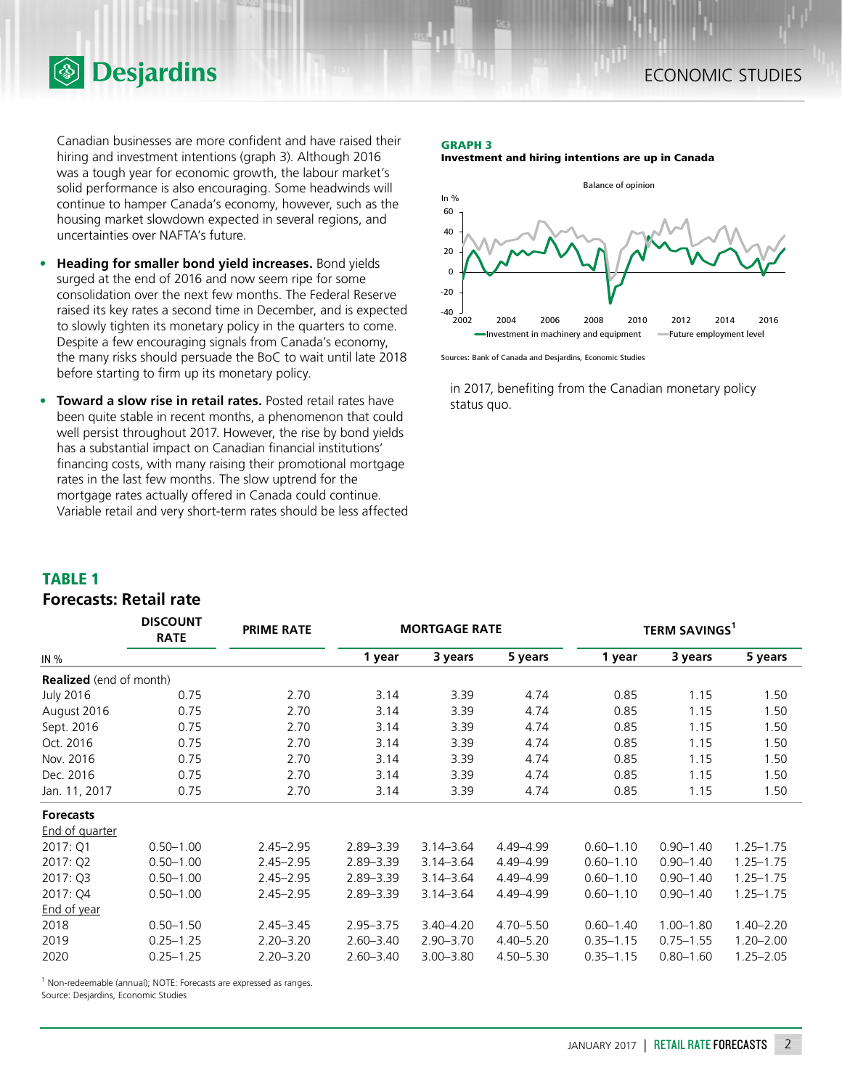Canadian businesses are more confident and have raised their hiring and investment intentions (graph 3). Although 2016 was a tough year for economic growth, the labour market's solid performance is also encouraging. Some headwinds will continue to hamper Canada's economy, however, such as the housing market slowdown expected in several regions, and uncertainties over NAFTA's future.

**Desjardins** 

- **• Heading for smaller bond yield increases.** Bond yields surged at the end of 2016 and now seem ripe for some consolidation over the next few months. The Federal Reserve raised its key rates a second time in December, and is expected to slowly tighten its monetary policy in the quarters to come. Despite a few encouraging signals from Canada's economy, the many risks should persuade the BoC to wait until late 2018 before starting to firm up its monetary policy.
- **• Toward a slow rise in retail rates.** Posted retail rates have been quite stable in recent months, a phenomenon that could well persist throughout 2017. However, the rise by bond yields has a substantial impact on Canadian financial institutions' financing costs, with many raising their promotional mortgage rates in the last few months. The slow uptrend for the mortgage rates actually offered in Canada could continue. Variable retail and very short-term rates should be less affected

### **GRAPH 3**

**Investment and hiring intentions are up in Canada**



Sources: Bank of Canada and Desjardins, Economic Studies

in 2017, benefiting from the Canadian monetary policy status quo.

# **TABLE 1**

# **Forecasts: Retail rate**

|                                | <b>DISCOUNT</b><br><b>RATE</b> | <b>PRIME RATE</b> | <b>MORTGAGE RATE</b> |               |               | <b>TERM SAVINGS</b> <sup>1</sup> |               |               |
|--------------------------------|--------------------------------|-------------------|----------------------|---------------|---------------|----------------------------------|---------------|---------------|
| IN %                           |                                |                   | 1 year               | 3 years       | 5 years       | 1 year                           | 3 years       | 5 years       |
| <b>Realized</b> (end of month) |                                |                   |                      |               |               |                                  |               |               |
| <b>July 2016</b>               | 0.75                           | 2.70              | 3.14                 | 3.39          | 4.74          | 0.85                             | 1.15          | 1.50          |
| August 2016                    | 0.75                           | 2.70              | 3.14                 | 3.39          | 4.74          | 0.85                             | 1.15          | 1.50          |
| Sept. 2016                     | 0.75                           | 2.70              | 3.14                 | 3.39          | 4.74          | 0.85                             | 1.15          | 1.50          |
| Oct. 2016                      | 0.75                           | 2.70              | 3.14                 | 3.39          | 4.74          | 0.85                             | 1.15          | 1.50          |
| Nov. 2016                      | 0.75                           | 2.70              | 3.14                 | 3.39          | 4.74          | 0.85                             | 1.15          | 1.50          |
| Dec. 2016                      | 0.75                           | 2.70              | 3.14                 | 3.39          | 4.74          | 0.85                             | 1.15          | 1.50          |
| Jan. 11, 2017                  | 0.75                           | 2.70              | 3.14                 | 3.39          | 4.74          | 0.85                             | 1.15          | 1.50          |
| <b>Forecasts</b>               |                                |                   |                      |               |               |                                  |               |               |
| End of quarter                 |                                |                   |                      |               |               |                                  |               |               |
| 2017: Q1                       | $0.50 - 1.00$                  | $2.45 - 2.95$     | $2.89 - 3.39$        | $3.14 - 3.64$ | 4.49-4.99     | $0.60 - 1.10$                    | $0.90 - 1.40$ | $1.25 - 1.75$ |
| 2017: Q2                       | $0.50 - 1.00$                  | $2.45 - 2.95$     | $2.89 - 3.39$        | $3.14 - 3.64$ | 4.49-4.99     | $0.60 - 1.10$                    | $0.90 - 1.40$ | $1.25 - 1.75$ |
| 2017: Q3                       | $0.50 - 1.00$                  | $2.45 - 2.95$     | $2.89 - 3.39$        | $3.14 - 3.64$ | 4.49-4.99     | $0.60 - 1.10$                    | $0.90 - 1.40$ | $1.25 - 1.75$ |
| 2017: Q4                       | $0.50 - 1.00$                  | $2.45 - 2.95$     | $2.89 - 3.39$        | $3.14 - 3.64$ | 4.49-4.99     | $0.60 - 1.10$                    | $0.90 - 1.40$ | $1.25 - 1.75$ |
| End of year                    |                                |                   |                      |               |               |                                  |               |               |
| 2018                           | $0.50 - 1.50$                  | $2.45 - 3.45$     | $2.95 - 3.75$        | $3.40 - 4.20$ | $4.70 - 5.50$ | $0.60 - 1.40$                    | $1.00 - 1.80$ | $1.40 - 2.20$ |
| 2019                           | $0.25 - 1.25$                  | $2.20 - 3.20$     | $2.60 - 3.40$        | $2.90 - 3.70$ | $4.40 - 5.20$ | $0.35 - 1.15$                    | $0.75 - 1.55$ | $1.20 - 2.00$ |
| 2020                           | $0.25 - 1.25$                  | $2.20 - 3.20$     | $2.60 - 3.40$        | $3.00 - 3.80$ | $4.50 - 5.30$ | $0.35 - 1.15$                    | $0.80 - 1.60$ | $1.25 - 2.05$ |

<sup>1</sup> Non-redeemable (annual); NOTE: Forecasts are expressed as ranges.

Source: Desjardins, Economic Studies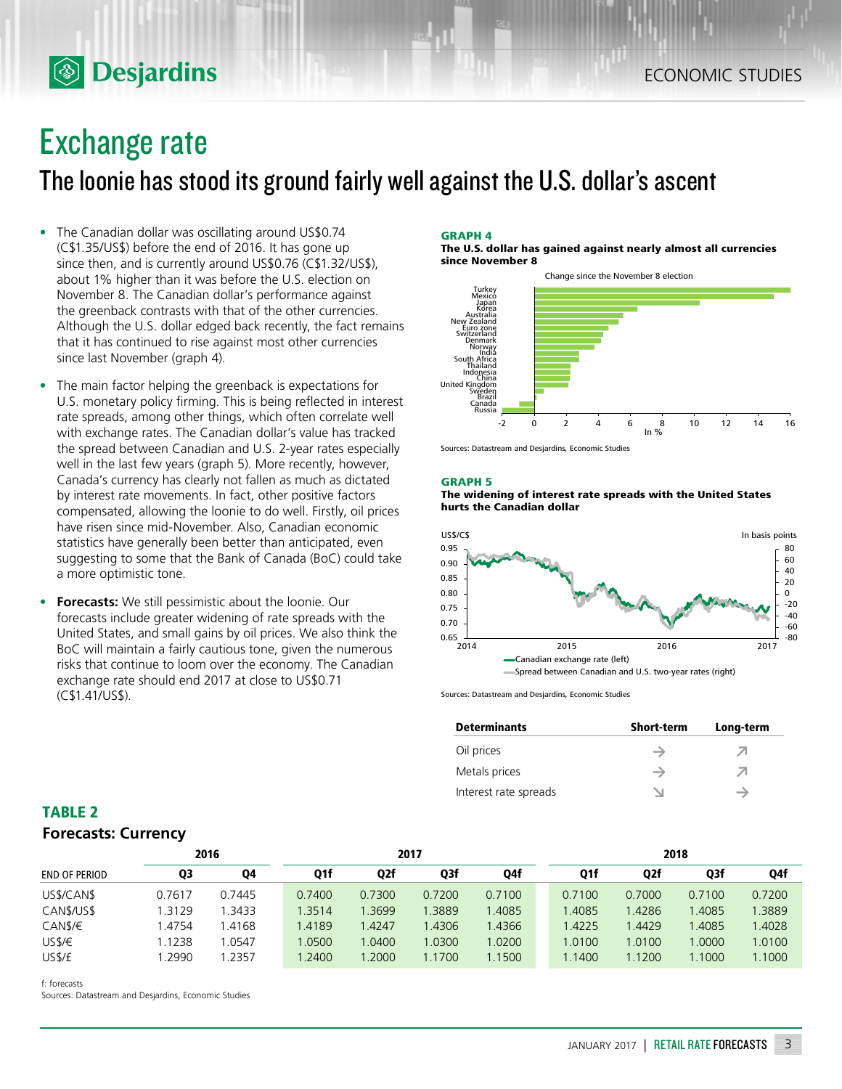# Exchange rate

**<b>Desjardins** 

The loonie has stood its ground fairly well against the U.S. dollar's ascent

- The Canadian dollar was oscillating around US\$0.74 (C\$1.35/US\$) before the end of 2016. It has gone up since then, and is currently around US\$0.76 (C\$1.32/US\$), about 1% higher than it was before the U.S. election on November 8. The Canadian dollar's performance against the greenback contrasts with that of the other currencies. Although the U.S. dollar edged back recently, the fact remains that it has continued to rise against most other currencies since last November (graph 4).
- The main factor helping the greenback is expectations for U.S. monetary policy firming. This is being reflected in interest rate spreads, among other things, which often correlate well with exchange rates. The Canadian dollar's value has tracked the spread between Canadian and U.S. 2-year rates especially well in the last few years (graph 5). More recently, however, Canada's currency has clearly not fallen as much as dictated by interest rate movements. In fact, other positive factors compensated, allowing the loonie to do well. Firstly, oil prices have risen since mid-November. Also, Canadian economic statistics have generally been better than anticipated, even suggesting to some that the Bank of Canada (BoC) could take a more optimistic tone.
- **• Forecasts:** We still pessimistic about the loonie. Our forecasts include greater widening of rate spreads with the United States, and small gains by oil prices. We also think the BoC will maintain a fairly cautious tone, given the numerous risks that continue to loom over the economy. The Canadian exchange rate should end 2017 at close to US\$0.71 (C\$1.41/US\$).

#### **GRAPH 4**

**The U.S. dollar has gained against nearly almost all currencies since November 8**



Sources: Datastream and Desjardins, Economic Studies

#### **GRAPH 5**





Sources: Datastream and Desjardins, Economic Studies

| <b>Determinants</b>   | <b>Short-term</b> | Long-term |
|-----------------------|-------------------|-----------|
| Oil prices            |                   | ↗         |
| Metals prices         |                   | ↗         |
| Interest rate spreads |                   | →         |

| <b>TABLE 2</b>             |  |
|----------------------------|--|
| <b>Forecasts: Currency</b> |  |

|                      | 2016   |        | 2017   |        |        |        | 2018   |        |        |        |
|----------------------|--------|--------|--------|--------|--------|--------|--------|--------|--------|--------|
| <b>END OF PERIOD</b> | Q3     | Q4     | Q1f    | Q2f    | Q3f    | Q4f    | Q1f    | Q2f    | Q3f    | Q4f    |
| US\$/CAN\$           | 0.7617 | 0.7445 | 0.7400 | 0.7300 | 0.7200 | 0.7100 | 0.7100 | 0.7000 | 0.7100 | 0.7200 |
| CAN\$/US\$           | 3129   | 1.3433 | 1.3514 | 1.3699 | 1.3889 | 1.4085 | 1.4085 | 1.4286 | 1.4085 | .3889  |
| CAN\$/€              | 1.4754 | 1.4168 | 1.4189 | .4247  | .4306  | 1.4366 | 1.4225 | .4429  | .4085  | 1.4028 |
| USS/E                | .1238  | .0547  | 1.0500 | 1.0400 | 1.0300 | 1.0200 | .0100  | 1.0100 | 1.0000 | 1.0100 |
| US\$/£               | .2990  | .2357  | .2400  | .2000  | 1.1700 | 1.1500 | 1.1400 | 1.1200 | 1.1000 | 1.1000 |

f: forecasts

Sources: Datastream and Desjardins, Economic Studies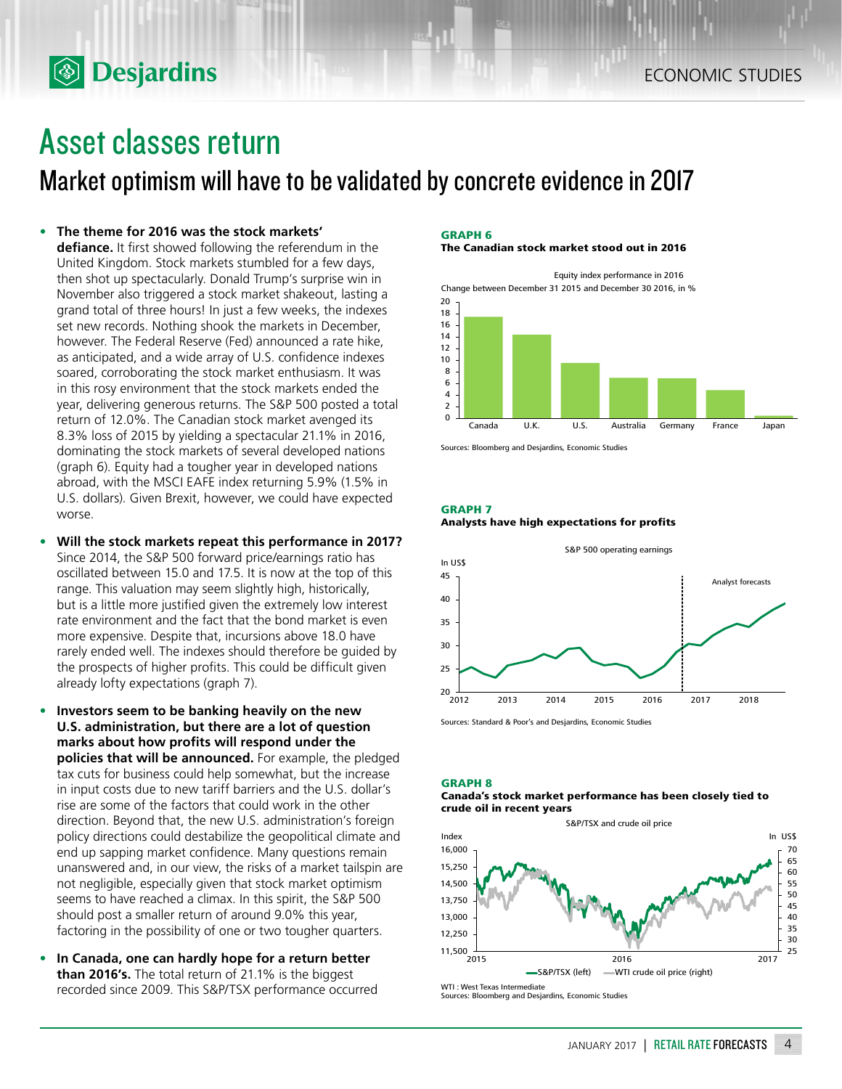# Asset classes return

**<b>Desjardins** 

Market optimism will have to be validated by concrete evidence in 2017

### **• The theme for 2016 was the stock markets'**

**defiance.** It first showed following the referendum in the United Kingdom. Stock markets stumbled for a few days, then shot up spectacularly. Donald Trump's surprise win in November also triggered a stock market shakeout, lasting a grand total of three hours! In just a few weeks, the indexes set new records. Nothing shook the markets in December, however. The Federal Reserve (Fed) announced a rate hike, as anticipated, and a wide array of U.S. confidence indexes soared, corroborating the stock market enthusiasm. It was in this rosy environment that the stock markets ended the year, delivering generous returns. The S&P 500 posted a total return of 12.0%. The Canadian stock market avenged its 8.3% loss of 2015 by yielding a spectacular 21.1% in 2016, dominating the stock markets of several developed nations (graph 6). Equity had a tougher year in developed nations abroad, with the MSCI EAFE index returning 5.9% (1.5% in U.S. dollars). Given Brexit, however, we could have expected worse.

- **• Will the stock markets repeat this performance in 2017?**  Since 2014, the S&P 500 forward price/earnings ratio has oscillated between 15.0 and 17.5. It is now at the top of this range. This valuation may seem slightly high, historically, but is a little more justified given the extremely low interest rate environment and the fact that the bond market is even more expensive. Despite that, incursions above 18.0 have rarely ended well. The indexes should therefore be guided by the prospects of higher profits. This could be difficult given already lofty expectations (graph 7).
- **• Investors seem to be banking heavily on the new U.S. administration, but there are a lot of question marks about how profits will respond under the policies that will be announced.** For example, the pledged tax cuts for business could help somewhat, but the increase in input costs due to new tariff barriers and the U.S. dollar's rise are some of the factors that could work in the other direction. Beyond that, the new U.S. administration's foreign policy directions could destabilize the geopolitical climate and end up sapping market confidence. Many questions remain unanswered and, in our view, the risks of a market tailspin are not negligible, especially given that stock market optimism seems to have reached a climax. In this spirit, the S&P 500 should post a smaller return of around 9.0% this year, factoring in the possibility of one or two tougher quarters.
- **• In Canada, one can hardly hope for a return better than 2016's.** The total return of 21.1% is the biggest recorded since 2009. This S&P/TSX performance occurred

#### **GRAPH 6**

**The Canadian stock market stood out in 2016**



Sources: Bloomberg and Desjardins, Economic Studies

#### **GRAPH 7**





Sources: Standard & Poor's and Desjardins, Economic Studies

# **GRAPH 8**

#### **Canada's stock market performance has been closely tied to crude oil in recent years**

S&P/TSX and crude oil price



Sources: Bloomberg and Desjardins, Economic Studies

JANUARY 2017 | RETAIL RATE FORECASTS 4